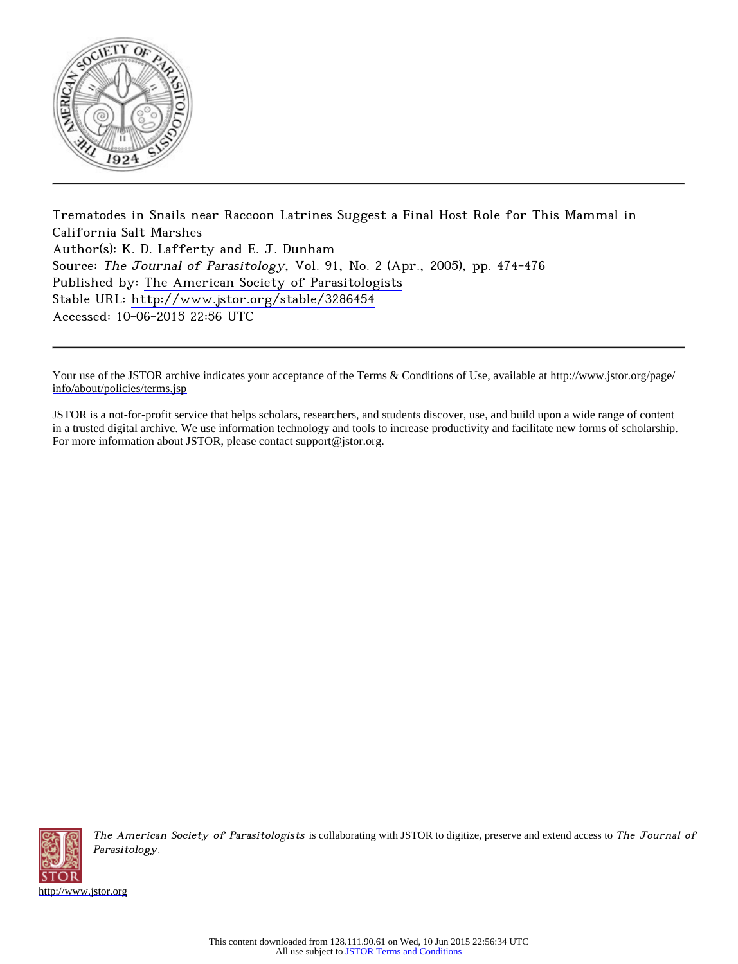

Trematodes in Snails near Raccoon Latrines Suggest a Final Host Role for This Mammal in California Salt Marshes Author(s): K. D. Lafferty and E. J. Dunham Source: The Journal of Parasitology, Vol. 91, No. 2 (Apr., 2005), pp. 474-476 Published by: [The American Society of Parasitologists](http://www.jstor.org/action/showPublisher?publisherCode=asp) Stable URL: <http://www.jstor.org/stable/3286454> Accessed: 10-06-2015 22:56 UTC

Your use of the JSTOR archive indicates your acceptance of the Terms & Conditions of Use, available at [http://www.jstor.org/page/](http://www.jstor.org/page/info/about/policies/terms.jsp) [info/about/policies/terms.jsp](http://www.jstor.org/page/info/about/policies/terms.jsp)

JSTOR is a not-for-profit service that helps scholars, researchers, and students discover, use, and build upon a wide range of content in a trusted digital archive. We use information technology and tools to increase productivity and facilitate new forms of scholarship. For more information about JSTOR, please contact support@jstor.org.



The American Society of Parasitologists is collaborating with JSTOR to digitize, preserve and extend access to The Journal of Parasitology.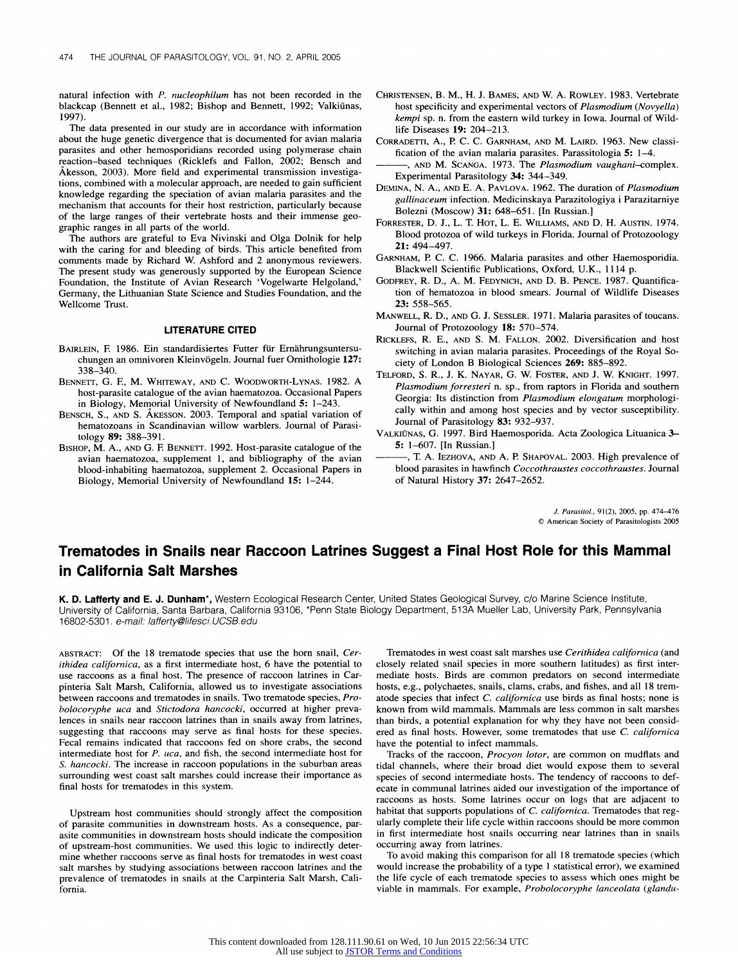**natural infection with P. nucleophilum has not been recorded in the blackcap (Bennett et al., 1982; Bishop and Bennett, 1992; Valkiminas, 1997).** 

**The data presented in our study are in accordance with information about the huge genetic divergence that is documented for avian malaria parasites and other hemosporidians recorded using polymerase chain reaction-based techniques (Ricklefs and Fallon, 2002; Bensch and Akesson, 2003). More field and experimental transmission investigations, combined with a molecular approach, are needed to gain sufficient knowledge regarding the speciation of avian malaria parasites and the mechanism that accounts for their host restriction, particularly because of the large ranges of their vertebrate hosts and their immense geographic ranges in all parts of the world.** 

**The authors are grateful to Eva Nivinski and Olga Dolnik for help with the caring for and bleeding of birds. This article benefited from**  comments made by Richard W. Ashford and 2 anonymous reviewers. **The present study was generously supported by the European Science Foundation, the Institute of Avian Research 'Vogelwarte Helgoland,' Germany, the Lithuanian State Science and Studies Foundation, and the Wellcome Trust.** 

## **LITERATURE CITED**

- BAIRLEIN, F. 1986. Ein standardisiertes Futter für Ernährungsuntersu**chungen an omnivoren Kleinvigeln. Journal fuer Ornithologie 127: 338-340.**
- **BENNETT, G. E, M. WHITEWAY, AND C. WOODWORTH-LYNAS. 1982. A host-parasite catalogue of the avian haematozoa. Occasional Papers in Biology, Memorial University of Newfoundland 5: 1-243.**
- **BENSCH, S., AND S. AKESSON. 2003. Temporal and spatial variation of hematozoans in Scandinavian willow warblers. Journal of Parasitology 89: 388-391.**
- **BISHOP, M. A., AND G. E BENNETT. 1992. Host-parasite catalogue of the avian haematozoa, supplement 1, and bibliography of the avian blood-inhabiting haematozoa, supplement 2. Occasional Papers in Biology, Memorial University of Newfoundland 15: 1-244.**
- **CHRISTENSEN, B. M., H. J. BAMES, AND W. A. ROWLEY. 1983. Vertebrate host specificity and experimental vectors of Plasmodium (Novyella) kempi sp. n. from the eastern wild turkey in Iowa. Journal of Wildlife Diseases 19: 204-213.**
- **CORRADETTI, A., P. C. C. GARNHAM, AND M. LAIRD. 1963. New classification of the avian malaria parasites. Parassitologia 5: 1-4.**
- **, AND M. SCANGA. 1973. The Plasmodium vaughani-complex. Experimental Parasitology 34: 344-349.**
- **DEMINA, N. A., AND E. A. PAVLOVA. 1962. The duration of Plasmodium gallinaceum infection. Medicinskaya Parazitologiya i Parazitarniye Bolezni (Moscow) 31: 648-651. [In Russian.]**
- **FORRESTER, D. J., L. T. HOT, L. E. WILLIAMS, AND D. H. AUSTIN. 1974. Blood protozoa of wild turkeys in Florida. Journal of Protozoology 21: 494-497.**
- **GARNHAM, P. C. C. 1966. Malaria parasites and other Haemosporidia. Blackwell Scientific Publications, Oxford, U.K., 1114 p.**
- **GODFREY, R. D., A. M. FEDYNICH, AND D. B. PENCE. 1987. Quantification of hematozoa in blood smears. Journal of Wildlife Diseases 23: 558-565.**
- **MANWELL, R. D., AND G. J. SESSLER. 1971. Malaria parasites of toucans. Journal of Protozoology 18: 570-574.**
- **RICKLEFS, R. E., AND S. M. FALLON. 2002. Diversification and host switching in avian malaria parasites. Proceedings of the Royal Society of London B Biological Sciences 269: 885-892.**
- **TELFORD, S. R., J. K. NAYAR, G. W. FOSTER, AND J. W. KNIGHT. 1997. Plasmodium forresteri n. sp., from raptors in Florida and southern Georgia: Its distinction from Plasmodium elongatum morphologically within and among host species and by vector susceptibility. Journal of Parasitology 83: 932-937.**
- **VALKIONAS, G. 1997. Bird Haemosporida. Acta Zoologica Lituanica 3- 5: 1-607. [In Russian.]**
- **, T A. IEZHOVA, AND A. P. SHAPOVAL. 2003. High prevalence of blood parasites in hawfinch Coccothraustes coccothraustes. Journal of Natural History 37: 2647-2652.**

**J. Parasitol., 91(2), 2005, pp. 474-476 ? American Society of Parasitologists 2005** 

## **Trematodes in Snails near Raccoon Latrines Suggest a Final Host Role for this Mammal in California Salt Marshes**

**K. D. Lafferty and E. J. Dunham\*, Western Ecological Research Center, United States Geological Survey, c/o Marine Science Institute, University of California, Santa Barbara, California 93106, \*Penn State Biology Department, 513A Mueller Lab, University Park, Pennsylvania 16802-5301. e-mail: /afferty@/ifesci.UCSB.edu** 

**ABSTRACT: Of the 18 trematode species that use the horn snail, Cerithidea californica, as a first intermediate host, 6 have the potential to use raccoons as a final host. The presence of raccoon latrines in Carpinteria Salt Marsh, California, allowed us to investigate associations between raccoons and trematodes in snails. Two trematode species, Probolocoryphe uca and Stictodora hancocki, occurred at higher prevalences in snails near raccoon latrines than in snails away from latrines, suggesting that raccoons may serve as final hosts for these species. Fecal remains indicated that raccoons fed on shore crabs, the second intermediate host for P. uca, and fish, the second intermediate host for S. hancocki. The increase in raccoon populations in the suburban areas surrounding west coast salt marshes could increase their importance as final hosts for trematodes in this system.** 

**Upstream host communities should strongly affect the composition of parasite communities in downstream hosts. As a consequence, parasite communities in downstream hosts should indicate the composition of upstream-host communities. We used this logic to indirectly determine whether raccoons serve as final hosts for trematodes in west coast salt marshes by studying associations between raccoon latrines and the prevalence of trematodes in snails at the Carpinteria Salt Marsh, California.** 

**Trematodes in west coast salt marshes use Cerithidea californica (and closely related snail species in more southern latitudes) as first intermediate hosts. Birds are common predators on second intermediate hosts, e.g., polychaetes, snails, clams, crabs, and fishes, and all 18 trematode species that infect C. californica use birds as final hosts; none is known from wild mammals. Mammals are less common in salt marshes than birds, a potential explanation for why they have not been consid**ered as final hosts. However, some trematodes that use C. californica **have the potential to infect mammals.** 

**Tracks of the raccoon, Procyon lotor, are common on mudflats and tidal channels, where their broad diet would expose them to several species of second intermediate hosts. The tendency of raccoons to defecate in communal latrines aided our investigation of the importance of raccoons as hosts. Some latrines occur on logs that are adjacent to habitat that supports populations of C. californica. Trematodes that regularly complete their life cycle within raccoons should be more common in first intermediate host snails occurring near latrines than in snails occurring away from latrines.** 

**To avoid making this comparison for all 18 trematode species (which would increase the probability of a type 1 statistical error), we examined the life cycle of each trematode species to assess which ones might be viable in mammals. For example, Probolocoryphe lanceolata (glandu-**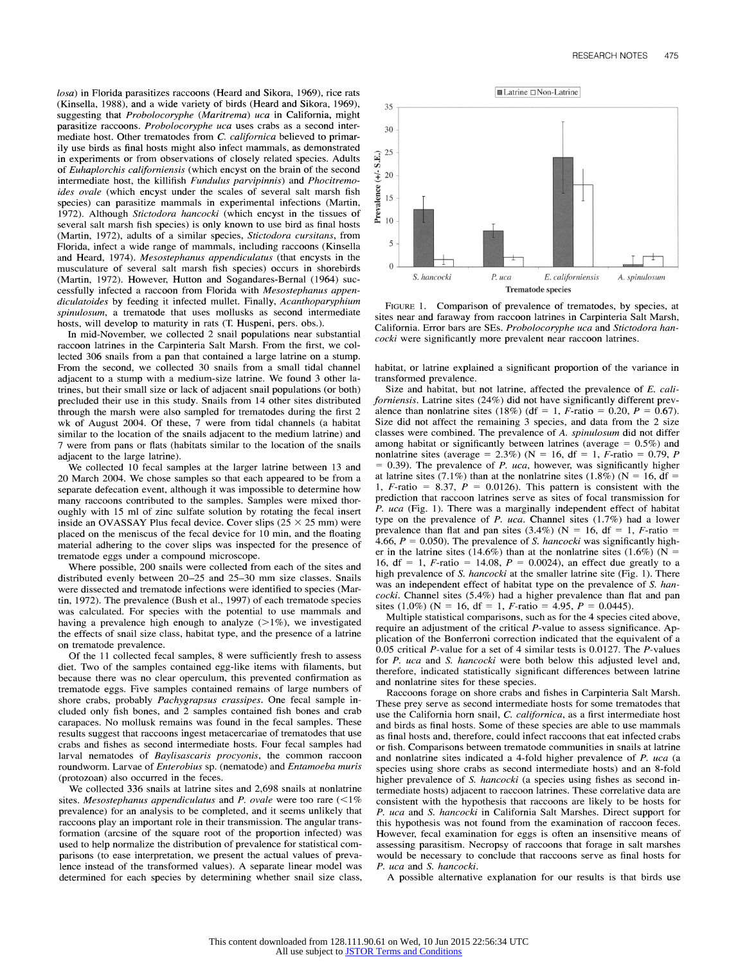**losa) in Florida parasitizes raccoons (Heard and Sikora, 1969), rice rats (Kinsella, 1988), and a wide variety of birds (Heard and Sikora, 1969), suggesting that Probolocoryphe (Maritrema) uca in California, might parasitize raccoons. Probolocoryphe uca uses crabs as a second intermediate host. Other trematodes from C. californica believed to primarily use birds as final hosts might also infect mammals, as demonstrated in experiments or from observations of closely related species. Adults of Euhaplorchis californiensis (which encyst on the brain of the second intermediate host, the killifish Fundulus parvipinnis) and Phocitremoides ovale (which encyst under the scales of several salt marsh fish species) can parasitize mammals in experimental infections (Martin, 1972). Although Stictodora hancocki (which encyst in the tissues of several salt marsh fish species) is only known to use bird as final hosts (Martin, 1972), adults of a similar species, Stictodora cursitans, from Florida, infect a wide range of mammals, including raccoons (Kinsella and Heard, 1974). Mesostephanus appendiculatus (that encysts in the musculature of several salt marsh fish species) occurs in shorebirds (Martin, 1972). However, Hutton and Sogandares-Bernal (1964) successfully infected a raccoon from Florida with Mesostephanus appendiculatoides by feeding it infected mullet. Finally, Acanthoparyphium spinulosum, a trematode that uses mollusks as second intermediate**  hosts, will develop to maturity in rats (T. Huspeni, pers. obs.).

**In mid-November, we collected 2 snail populations near substantial raccoon latrines in the Carpinteria Salt Marsh. From the first, we collected 306 snails from a pan that contained a large latrine on a stump. From the second, we collected 30 snails from a small tidal channel adjacent to a stump with a medium-size latrine. We found 3 other latrines, but their small size or lack of adjacent snail populations (or both) precluded their use in this study. Snails from 14 other sites distributed through the marsh were also sampled for trematodes during the first 2 wk of August 2004. Of these, 7 were from tidal channels (a habitat similar to the location of the snails adjacent to the medium latrine) and 7 were from pans or flats (habitats similar to the location of the snails adjacent to the large latrine).** 

**We collected 10 fecal samples at the larger latrine between 13 and 20 March 2004. We chose samples so that each appeared to be from a separate defecation event, although it was impossible to determine how many raccoons contributed to the samples. Samples were mixed thoroughly with 15 ml of zinc sulfate solution by rotating the fecal insert inside an OVASSAY Plus fecal device. Cover slips (25 X 25 mm) were placed on the meniscus of the fecal device for 10 min, and the floating material adhering to the cover slips was inspected for the presence of trematode eggs under a compound microscope.** 

**Where possible, 200 snails were collected from each of the sites and distributed evenly between 20-25 and 25-30 mm size classes. Snails were dissected and trematode infections were identified to species (Martin, 1972). The prevalence (Bush et al., 1997) of each trematode species was calculated. For species with the potential to use mammals and having a prevalence high enough to analyze (>1%), we investigated the effects of snail size class, habitat type, and the presence of a latrine on trematode prevalence.** 

**Of the 11 collected fecal samples, 8 were sufficiently fresh to assess diet. Two of the samples contained egg-like items with filaments, but because there was no clear operculum, this prevented confirmation as trematode eggs. Five samples contained remains of large numbers of shore crabs, probably Pachygrapsus crassipes. One fecal sample included only fish bones, and 2 samples contained fish bones and crab carapaces. No mollusk remains was found in the fecal samples. These results suggest that raccoons ingest metacercariae of trematodes that use crabs and fishes as second intermediate hosts. Four fecal samples had larval nematodes of Baylisascaris procyonis, the common raccoon roundworm. Larvae of Enterobius sp. (nematode) and Entamoeba muris (protozoan) also occurred in the feces.** 

**We collected 336 snails at latrine sites and 2,698 snails at nonlatrine sites. Mesostephanus appendiculatus and P. ovale were too rare (<1% prevalence) for an analysis to be completed, and it seems unlikely that raccoons play an important role in their transmission. The angular transformation (arcsine of the square root of the proportion infected) was used to help normalize the distribution of prevalence for statistical comparisons (to ease interpretation, we present the actual values of prevalence instead of the transformed values). A separate linear model was determined for each species by determining whether snail size class,** 



**FIGURE 1. Comparison of prevalence of trematodes, by species, at sites near and faraway from raccoon latrines in Carpinteria Salt Marsh, California. Error bars are SEs. Probolocoryphe uca and Stictodora hancocki were significantly more prevalent near raccoon latrines.** 

**habitat, or latrine explained a significant proportion of the variance in transformed prevalence.** 

**Size and habitat, but not latrine, affected the prevalence of E. californiensis. Latrine sites (24%) did not have significantly different prev**alence than nonlatrine sites (18%) (df = 1, F-ratio = 0.20,  $P = 0.67$ ). **Size did not affect the remaining 3 species, and data from the 2 size classes were combined. The prevalence of A. spinulosum did not differ among habitat or significantly between latrines (average= 0.5%) and nonlatrine sites (average = 2.3%) (N = 16, df = 1, F-ratio = 0.79, P = 0.39). The prevalence of P. uca, however, was significantly higher**  at latrine sites (7.1%) than at the nonlatrine sites (1.8%) ( $N = 16$ , df = 1,  $F$ -ratio = 8.37,  $P = 0.0126$ ). This pattern is consistent with the **prediction that raccoon latrines serve as sites of focal transmission for P. uca (Fig. 1). There was a marginally independent effect of habitat type on the prevalence of P. uca. Channel sites (1.7%) had a lower**  prevalence than flat and pan sites  $(3.4\%)$  (N = 16, df = 1, F-ratio = **4.66, P = 0.050). The prevalence of S. hancocki was significantly high**er in the latrine sites (14.6%) than at the nonlatrine sites (1.6%) ( $N =$ 16, df = 1, F-ratio = 14.08,  $P = 0.0024$ ), an effect due greatly to a **high prevalence of S. hancocki at the smaller latrine site (Fig. 1). There was an independent effect of habitat type on the prevalence of S. hancocki. Channel sites (5.4%) had a higher prevalence than flat and pan sites (1.0%) (N = 16, df = 1, F-ratio = 4.95, P = 0.0445).** 

**Multiple statistical comparisons, such as for the 4 species cited above, require an adjustment of the critical P-value to assess significance. Application of the Bonferroni correction indicated that the equivalent of a 0.05 critical P-value for a set of 4 similar tests is 0.0127. The P-values for P. uca and S. hancocki were both below this adjusted level and, therefore, indicated statistically significant differences between latrine and nonlatrine sites for these species.** 

**Raccoons forage on shore crabs and fishes in Carpinteria Salt Marsh. These prey serve as second intermediate hosts for some trematodes that use the California horn snail, C. californica, as a first intermediate host and birds as final hosts. Some of these species are able to use mammals as final hosts and, therefore, could infect raccoons that eat infected crabs or fish. Comparisons between trematode communities in snails at latrine and nonlatrine sites indicated a 4-fold higher prevalence of P. uca (a species using shore crabs as second intermediate hosts) and an 8-fold higher prevalence of S. hancocki (a species using fishes as second intermediate hosts) adjacent to raccoon latrines. These correlative data are consistent with the hypothesis that raccoons are likely to be hosts for P. uca and S. hancocki in California Salt Marshes. Direct support for this hypothesis was not found from the examination of raccoon feces. However, fecal examination for eggs is often an insensitive means of assessing parasitism. Necropsy of raccoons that forage in salt marshes would be necessary to conclude that raccoons serve as final hosts for P. uca and S. hancocki.** 

**A possible alternative explanation for our results is that birds use**